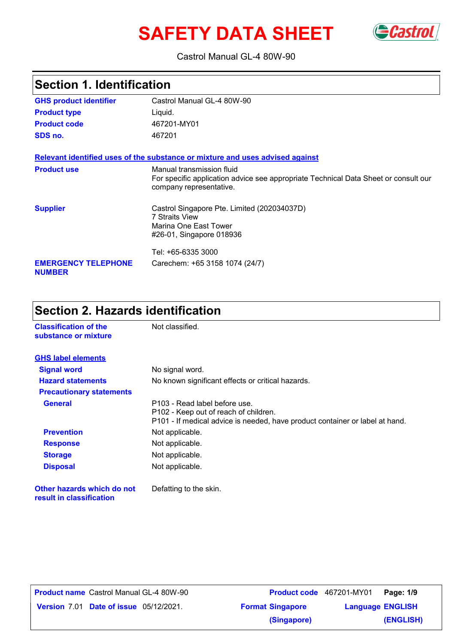# **SAFETY DATA SHEET**



#### Castrol Manual GL-4 80W-90

#### Castrol Manual GL-4 80W-90 Liquid. **GHS product identifier Product type Section 1. Identification Relevant identified uses of the substance or mixture and uses advised against SDS no.** 467201 **Product use** Manual transmission fluid For specific application advice see appropriate Technical Data Sheet or consult our company representative. **Supplier** Castrol Singapore Pte. Limited (202034037D) 7 Straits View Marina One East Tower #26-01, Singapore 018936 Tel: +65-6335 3000 **EMERGENCY TELEPHONE NUMBER** Carechem: +65 3158 1074 (24/7) **Product code** 467201-MY01

# **Section 2. Hazards identification**

| <b>Classification of the</b><br>substance or mixture   | Not classified.                                                                                                                                        |  |
|--------------------------------------------------------|--------------------------------------------------------------------------------------------------------------------------------------------------------|--|
| <b>GHS label elements</b>                              |                                                                                                                                                        |  |
| <b>Signal word</b>                                     | No signal word.                                                                                                                                        |  |
| <b>Hazard statements</b>                               | No known significant effects or critical hazards.                                                                                                      |  |
| <b>Precautionary statements</b>                        |                                                                                                                                                        |  |
| <b>General</b>                                         | P103 - Read label before use.<br>P102 - Keep out of reach of children.<br>P101 - If medical advice is needed, have product container or label at hand. |  |
| <b>Prevention</b>                                      | Not applicable.                                                                                                                                        |  |
| <b>Response</b>                                        | Not applicable.                                                                                                                                        |  |
| <b>Storage</b>                                         | Not applicable.                                                                                                                                        |  |
| <b>Disposal</b>                                        | Not applicable.                                                                                                                                        |  |
| Other hazards which do not<br>result in classification | Defatting to the skin.                                                                                                                                 |  |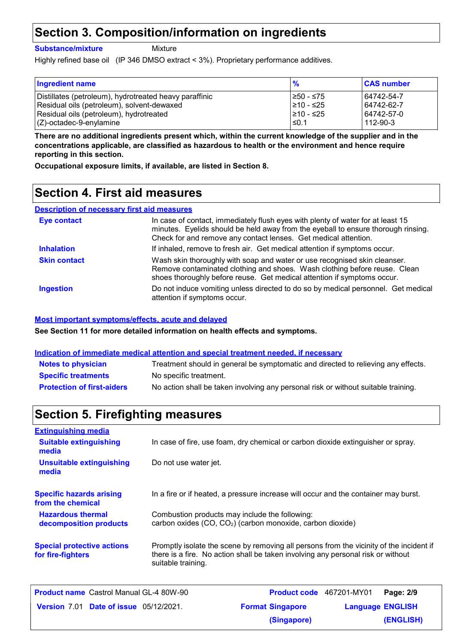## **Section 3. Composition/information on ingredients**

**Substance/mixture**

Mixture

Highly refined base oil (IP 346 DMSO extract < 3%). Proprietary performance additives.

| Ingredient name                                        | $\frac{9}{6}$ | <b>CAS number</b> |
|--------------------------------------------------------|---------------|-------------------|
| Distillates (petroleum), hydrotreated heavy paraffinic | l≥50 - ≤75    | 64742-54-7        |
| Residual oils (petroleum), solvent-dewaxed             | l≥10 - ≤25    | 64742-62-7        |
| Residual oils (petroleum), hydrotreated                | 210 - ≤25     | 64742-57-0        |
| (Z)-octadec-9-enylamine                                | $\leq 0.1$    | 112-90-3          |

**There are no additional ingredients present which, within the current knowledge of the supplier and in the concentrations applicable, are classified as hazardous to health or the environment and hence require reporting in this section.**

**Occupational exposure limits, if available, are listed in Section 8.**

# **Section 4. First aid measures**

#### **Description of necessary first aid measures**

| <b>Eye contact</b>  | In case of contact, immediately flush eyes with plenty of water for at least 15<br>minutes. Eyelids should be held away from the eyeball to ensure thorough rinsing.<br>Check for and remove any contact lenses. Get medical attention. |
|---------------------|-----------------------------------------------------------------------------------------------------------------------------------------------------------------------------------------------------------------------------------------|
| <b>Inhalation</b>   | If inhaled, remove to fresh air. Get medical attention if symptoms occur.                                                                                                                                                               |
| <b>Skin contact</b> | Wash skin thoroughly with soap and water or use recognised skin cleanser.<br>Remove contaminated clothing and shoes. Wash clothing before reuse. Clean<br>shoes thoroughly before reuse. Get medical attention if symptoms occur.       |
| <b>Ingestion</b>    | Do not induce vomiting unless directed to do so by medical personnel. Get medical<br>attention if symptoms occur.                                                                                                                       |

#### **Most important symptoms/effects, acute and delayed**

**See Section 11 for more detailed information on health effects and symptoms.**

#### **Indication of immediate medical attention and special treatment needed, if necessary**

| <b>Notes to physician</b>         | Treatment should in general be symptomatic and directed to relieving any effects.  |
|-----------------------------------|------------------------------------------------------------------------------------|
| <b>Specific treatments</b>        | No specific treatment.                                                             |
| <b>Protection of first-aiders</b> | No action shall be taken involving any personal risk or without suitable training. |

### **Section 5. Firefighting measures**

| <b>Extinguishing media</b>                             |                                                                                                                                                                                                   |
|--------------------------------------------------------|---------------------------------------------------------------------------------------------------------------------------------------------------------------------------------------------------|
| <b>Suitable extinguishing</b><br>media                 | In case of fire, use foam, dry chemical or carbon dioxide extinguisher or spray.                                                                                                                  |
| <b>Unsuitable extinguishing</b><br>media               | Do not use water jet.                                                                                                                                                                             |
| <b>Specific hazards arising</b><br>from the chemical   | In a fire or if heated, a pressure increase will occur and the container may burst.                                                                                                               |
| <b>Hazardous thermal</b><br>decomposition products     | Combustion products may include the following:<br>carbon oxides (CO, CO <sub>2</sub> ) (carbon monoxide, carbon dioxide)                                                                          |
| <b>Special protective actions</b><br>for fire-fighters | Promptly isolate the scene by removing all persons from the vicinity of the incident if<br>there is a fire. No action shall be taken involving any personal risk or without<br>suitable training. |

| Product name Castrol Manual GL-4 80W-90       | Product code 467201-MY01 | Page: 2/9               |  |
|-----------------------------------------------|--------------------------|-------------------------|--|
| <b>Version 7.01 Date of issue 05/12/2021.</b> | <b>Format Singapore</b>  | <b>Language ENGLISH</b> |  |
|                                               | (Singapore)              | (ENGLISH)               |  |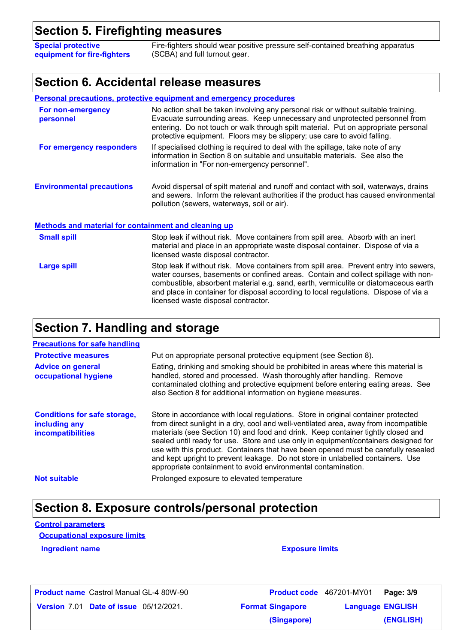## **Section 5. Firefighting measures**

**Special protective equipment for fire-fighters** Fire-fighters should wear positive pressure self-contained breathing apparatus (SCBA) and full turnout gear.

### **Section 6. Accidental release measures**

|                                                             | <b>Personal precautions, protective equipment and emergency procedures</b>                                                                                                                                                                                                                                                                                                                         |  |  |
|-------------------------------------------------------------|----------------------------------------------------------------------------------------------------------------------------------------------------------------------------------------------------------------------------------------------------------------------------------------------------------------------------------------------------------------------------------------------------|--|--|
| For non-emergency<br>personnel                              | No action shall be taken involving any personal risk or without suitable training.<br>Evacuate surrounding areas. Keep unnecessary and unprotected personnel from<br>entering. Do not touch or walk through spilt material. Put on appropriate personal<br>protective equipment. Floors may be slippery; use care to avoid falling.                                                                |  |  |
| For emergency responders                                    | If specialised clothing is required to deal with the spillage, take note of any<br>information in Section 8 on suitable and unsuitable materials. See also the<br>information in "For non-emergency personnel".                                                                                                                                                                                    |  |  |
| <b>Environmental precautions</b>                            | Avoid dispersal of spilt material and runoff and contact with soil, waterways, drains<br>and sewers. Inform the relevant authorities if the product has caused environmental<br>pollution (sewers, waterways, soil or air).                                                                                                                                                                        |  |  |
| <b>Methods and material for containment and cleaning up</b> |                                                                                                                                                                                                                                                                                                                                                                                                    |  |  |
| <b>Small spill</b>                                          | Stop leak if without risk. Move containers from spill area. Absorb with an inert<br>material and place in an appropriate waste disposal container. Dispose of via a<br>licensed waste disposal contractor.                                                                                                                                                                                         |  |  |
| <b>Large spill</b>                                          | Stop leak if without risk. Move containers from spill area. Prevent entry into sewers,<br>water courses, basements or confined areas. Contain and collect spillage with non-<br>combustible, absorbent material e.g. sand, earth, vermiculite or diatomaceous earth<br>and place in container for disposal according to local regulations. Dispose of via a<br>licensed waste disposal contractor. |  |  |

# **Section 7. Handling and storage**

| <b>Precautions for safe handling</b>                                             |                                                                                                                                                                                                                                                                                                                                                                                                                                                                                                                                                                                                |
|----------------------------------------------------------------------------------|------------------------------------------------------------------------------------------------------------------------------------------------------------------------------------------------------------------------------------------------------------------------------------------------------------------------------------------------------------------------------------------------------------------------------------------------------------------------------------------------------------------------------------------------------------------------------------------------|
| <b>Protective measures</b>                                                       | Put on appropriate personal protective equipment (see Section 8).                                                                                                                                                                                                                                                                                                                                                                                                                                                                                                                              |
| <b>Advice on general</b><br>occupational hygiene                                 | Eating, drinking and smoking should be prohibited in areas where this material is<br>handled, stored and processed. Wash thoroughly after handling. Remove<br>contaminated clothing and protective equipment before entering eating areas. See<br>also Section 8 for additional information on hygiene measures.                                                                                                                                                                                                                                                                               |
| <b>Conditions for safe storage,</b><br>including any<br><b>incompatibilities</b> | Store in accordance with local regulations. Store in original container protected<br>from direct sunlight in a dry, cool and well-ventilated area, away from incompatible<br>materials (see Section 10) and food and drink. Keep container tightly closed and<br>sealed until ready for use. Store and use only in equipment/containers designed for<br>use with this product. Containers that have been opened must be carefully resealed<br>and kept upright to prevent leakage. Do not store in unlabelled containers. Use<br>appropriate containment to avoid environmental contamination. |
| <b>Not suitable</b>                                                              | Prolonged exposure to elevated temperature                                                                                                                                                                                                                                                                                                                                                                                                                                                                                                                                                     |

# **Section 8. Exposure controls/personal protection**

**Control parameters**

**Occupational exposure limits**

**Ingredient name Exposure limits** 

**Product name** Castrol Manual GL-4 80W-90

**Date of issue** 05/12/2021. **Profit is a Constantine Constructed Managuage ENGLIS** Castrol Manual GL-4 80W-90 **Page: 3/9** 467201-MY01 **Language ENGLISH (ENGLISH) (Singapore)**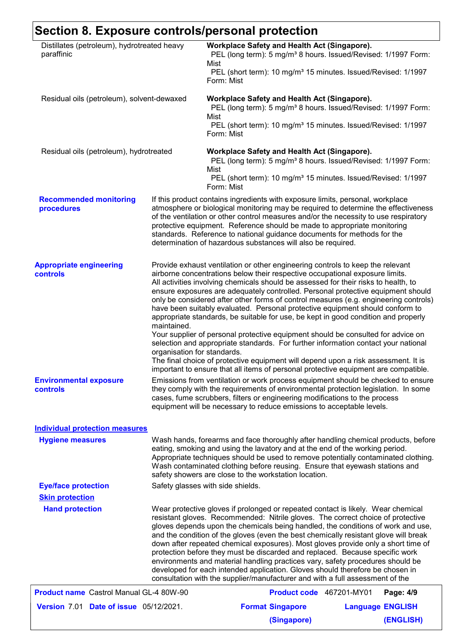# **Section 8. Exposure controls/personal protection**

| Distillates (petroleum), hydrotreated heavy<br>paraffinic<br>Residual oils (petroleum), solvent-dewaxed |                                                                                                                                                                                                                                                                                                                                                                                                                                                                                                                                                                                                                                                                                                                                                                          | Workplace Safety and Health Act (Singapore).<br>PEL (long term): 5 mg/m <sup>3</sup> 8 hours. Issued/Revised: 1/1997 Form:<br>Mist<br>PEL (short term): 10 mg/m <sup>3</sup> 15 minutes. Issued/Revised: 1/1997<br>Form: Mist                                                                                                                                                                                                                                                                                                                                                                                                                                                                                                                                                      |  |                         |
|---------------------------------------------------------------------------------------------------------|--------------------------------------------------------------------------------------------------------------------------------------------------------------------------------------------------------------------------------------------------------------------------------------------------------------------------------------------------------------------------------------------------------------------------------------------------------------------------------------------------------------------------------------------------------------------------------------------------------------------------------------------------------------------------------------------------------------------------------------------------------------------------|------------------------------------------------------------------------------------------------------------------------------------------------------------------------------------------------------------------------------------------------------------------------------------------------------------------------------------------------------------------------------------------------------------------------------------------------------------------------------------------------------------------------------------------------------------------------------------------------------------------------------------------------------------------------------------------------------------------------------------------------------------------------------------|--|-------------------------|
|                                                                                                         |                                                                                                                                                                                                                                                                                                                                                                                                                                                                                                                                                                                                                                                                                                                                                                          | Workplace Safety and Health Act (Singapore).<br>PEL (long term): 5 mg/m <sup>3</sup> 8 hours. Issued/Revised: 1/1997 Form:<br>Mist<br>PEL (short term): 10 mg/m <sup>3</sup> 15 minutes. Issued/Revised: 1/1997<br>Form: Mist                                                                                                                                                                                                                                                                                                                                                                                                                                                                                                                                                      |  |                         |
| Residual oils (petroleum), hydrotreated                                                                 |                                                                                                                                                                                                                                                                                                                                                                                                                                                                                                                                                                                                                                                                                                                                                                          | Workplace Safety and Health Act (Singapore).<br>PEL (long term): 5 mg/m <sup>3</sup> 8 hours. Issued/Revised: 1/1997 Form:<br>Mist<br>PEL (short term): 10 mg/m <sup>3</sup> 15 minutes. Issued/Revised: 1/1997<br>Form: Mist                                                                                                                                                                                                                                                                                                                                                                                                                                                                                                                                                      |  |                         |
| <b>Recommended monitoring</b><br>procedures                                                             |                                                                                                                                                                                                                                                                                                                                                                                                                                                                                                                                                                                                                                                                                                                                                                          | If this product contains ingredients with exposure limits, personal, workplace<br>atmosphere or biological monitoring may be required to determine the effectiveness<br>of the ventilation or other control measures and/or the necessity to use respiratory<br>protective equipment. Reference should be made to appropriate monitoring<br>standards. Reference to national guidance documents for methods for the<br>determination of hazardous substances will also be required.                                                                                                                                                                                                                                                                                                |  |                         |
| <b>Appropriate engineering</b><br>controls                                                              | maintained.                                                                                                                                                                                                                                                                                                                                                                                                                                                                                                                                                                                                                                                                                                                                                              | Provide exhaust ventilation or other engineering controls to keep the relevant<br>airborne concentrations below their respective occupational exposure limits.<br>All activities involving chemicals should be assessed for their risks to health, to<br>ensure exposures are adequately controlled. Personal protective equipment should<br>only be considered after other forms of control measures (e.g. engineering controls)<br>have been suitably evaluated. Personal protective equipment should conform to<br>appropriate standards, be suitable for use, be kept in good condition and properly<br>Your supplier of personal protective equipment should be consulted for advice on<br>selection and appropriate standards. For further information contact your national |  |                         |
|                                                                                                         | organisation for standards.                                                                                                                                                                                                                                                                                                                                                                                                                                                                                                                                                                                                                                                                                                                                              | The final choice of protective equipment will depend upon a risk assessment. It is<br>important to ensure that all items of personal protective equipment are compatible.                                                                                                                                                                                                                                                                                                                                                                                                                                                                                                                                                                                                          |  |                         |
| <b>Environmental exposure</b><br><b>controls</b>                                                        |                                                                                                                                                                                                                                                                                                                                                                                                                                                                                                                                                                                                                                                                                                                                                                          | Emissions from ventilation or work process equipment should be checked to ensure<br>they comply with the requirements of environmental protection legislation. In some<br>cases, fume scrubbers, filters or engineering modifications to the process<br>equipment will be necessary to reduce emissions to acceptable levels.                                                                                                                                                                                                                                                                                                                                                                                                                                                      |  |                         |
| <b>Individual protection measures</b>                                                                   |                                                                                                                                                                                                                                                                                                                                                                                                                                                                                                                                                                                                                                                                                                                                                                          |                                                                                                                                                                                                                                                                                                                                                                                                                                                                                                                                                                                                                                                                                                                                                                                    |  |                         |
| <b>Hygiene measures</b>                                                                                 |                                                                                                                                                                                                                                                                                                                                                                                                                                                                                                                                                                                                                                                                                                                                                                          | Wash hands, forearms and face thoroughly after handling chemical products, before<br>eating, smoking and using the lavatory and at the end of the working period.<br>Appropriate techniques should be used to remove potentially contaminated clothing.<br>Wash contaminated clothing before reusing. Ensure that eyewash stations and<br>safety showers are close to the workstation location.                                                                                                                                                                                                                                                                                                                                                                                    |  |                         |
| <b>Eye/face protection</b><br><b>Skin protection</b>                                                    |                                                                                                                                                                                                                                                                                                                                                                                                                                                                                                                                                                                                                                                                                                                                                                          | Safety glasses with side shields.                                                                                                                                                                                                                                                                                                                                                                                                                                                                                                                                                                                                                                                                                                                                                  |  |                         |
| <b>Hand protection</b>                                                                                  | Wear protective gloves if prolonged or repeated contact is likely. Wear chemical<br>resistant gloves. Recommended: Nitrile gloves. The correct choice of protective<br>gloves depends upon the chemicals being handled, the conditions of work and use,<br>and the condition of the gloves (even the best chemically resistant glove will break<br>down after repeated chemical exposures). Most gloves provide only a short time of<br>protection before they must be discarded and replaced. Because specific work<br>environments and material handling practices vary, safety procedures should be<br>developed for each intended application. Gloves should therefore be chosen in<br>consultation with the supplier/manufacturer and with a full assessment of the |                                                                                                                                                                                                                                                                                                                                                                                                                                                                                                                                                                                                                                                                                                                                                                                    |  |                         |
| <b>Product name</b> Castrol Manual GL-4 80W-90                                                          |                                                                                                                                                                                                                                                                                                                                                                                                                                                                                                                                                                                                                                                                                                                                                                          | Product code 467201-MY01                                                                                                                                                                                                                                                                                                                                                                                                                                                                                                                                                                                                                                                                                                                                                           |  | Page: 4/9               |
| Version 7.01 Date of issue 05/12/2021.                                                                  |                                                                                                                                                                                                                                                                                                                                                                                                                                                                                                                                                                                                                                                                                                                                                                          | <b>Format Singapore</b>                                                                                                                                                                                                                                                                                                                                                                                                                                                                                                                                                                                                                                                                                                                                                            |  | <b>Language ENGLISH</b> |
|                                                                                                         |                                                                                                                                                                                                                                                                                                                                                                                                                                                                                                                                                                                                                                                                                                                                                                          | (Singapore)                                                                                                                                                                                                                                                                                                                                                                                                                                                                                                                                                                                                                                                                                                                                                                        |  | (ENGLISH)               |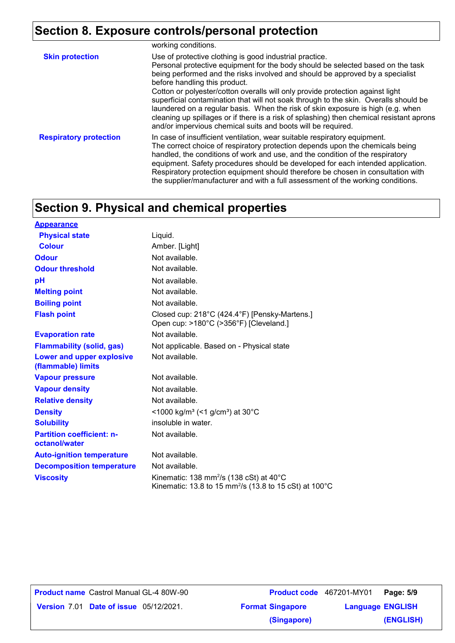# **Section 8. Exposure controls/personal protection**

|                               | working conditions.                                                                                                                                                                                                                                                                                                                                                                                                                                                                                                                                                                                                                                                                   |
|-------------------------------|---------------------------------------------------------------------------------------------------------------------------------------------------------------------------------------------------------------------------------------------------------------------------------------------------------------------------------------------------------------------------------------------------------------------------------------------------------------------------------------------------------------------------------------------------------------------------------------------------------------------------------------------------------------------------------------|
| <b>Skin protection</b>        | Use of protective clothing is good industrial practice.<br>Personal protective equipment for the body should be selected based on the task<br>being performed and the risks involved and should be approved by a specialist<br>before handling this product.<br>Cotton or polyester/cotton overalls will only provide protection against light<br>superficial contamination that will not soak through to the skin. Overalls should be<br>laundered on a regular basis. When the risk of skin exposure is high (e.g. when<br>cleaning up spillages or if there is a risk of splashing) then chemical resistant aprons<br>and/or impervious chemical suits and boots will be required. |
| <b>Respiratory protection</b> | In case of insufficient ventilation, wear suitable respiratory equipment.<br>The correct choice of respiratory protection depends upon the chemicals being<br>handled, the conditions of work and use, and the condition of the respiratory<br>equipment. Safety procedures should be developed for each intended application.<br>Respiratory protection equipment should therefore be chosen in consultation with<br>the supplier/manufacturer and with a full assessment of the working conditions.                                                                                                                                                                                 |

# **Section 9. Physical and chemical properties**

| <b>Appearance</b>                                 |                                                                                                                                     |
|---------------------------------------------------|-------------------------------------------------------------------------------------------------------------------------------------|
| <b>Physical state</b>                             | Liquid.                                                                                                                             |
| <b>Colour</b>                                     | Amber. [Light]                                                                                                                      |
| <b>Odour</b>                                      | Not available.                                                                                                                      |
| <b>Odour threshold</b>                            | Not available.                                                                                                                      |
| рH                                                | Not available.                                                                                                                      |
| <b>Melting point</b>                              | Not available.                                                                                                                      |
| <b>Boiling point</b>                              | Not available.                                                                                                                      |
| <b>Flash point</b>                                | Closed cup: 218°C (424.4°F) [Pensky-Martens.]<br>Open cup: >180°C (>356°F) [Cleveland.]                                             |
| <b>Evaporation rate</b>                           | Not available.                                                                                                                      |
| <b>Flammability (solid, gas)</b>                  | Not applicable. Based on - Physical state                                                                                           |
| Lower and upper explosive<br>(flammable) limits   | Not available.                                                                                                                      |
| <b>Vapour pressure</b>                            | Not available.                                                                                                                      |
| <b>Vapour density</b>                             | Not available.                                                                                                                      |
| <b>Relative density</b>                           | Not available.                                                                                                                      |
| <b>Density</b>                                    | <1000 kg/m <sup>3</sup> (<1 g/cm <sup>3</sup> ) at 30°C                                                                             |
| <b>Solubility</b>                                 | insoluble in water.                                                                                                                 |
| <b>Partition coefficient: n-</b><br>octanol/water | Not available.                                                                                                                      |
| <b>Auto-ignition temperature</b>                  | Not available.                                                                                                                      |
| <b>Decomposition temperature</b>                  | Not available.                                                                                                                      |
| <b>Viscosity</b>                                  | Kinematic: 138 mm <sup>2</sup> /s (138 cSt) at $40^{\circ}$ C<br>Kinematic: 13.8 to 15 mm <sup>2</sup> /s (13.8 to 15 cSt) at 100°C |

**Product name** Castrol Manual GL-4 80W-90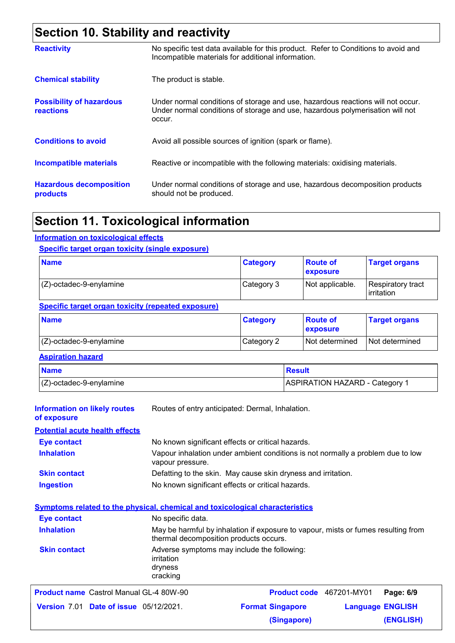# **Section 10. Stability and reactivity**

| <b>Reactivity</b>                            | No specific test data available for this product. Refer to Conditions to avoid and<br>Incompatible materials for additional information.                                   |
|----------------------------------------------|----------------------------------------------------------------------------------------------------------------------------------------------------------------------------|
| <b>Chemical stability</b>                    | The product is stable.                                                                                                                                                     |
| <b>Possibility of hazardous</b><br>reactions | Under normal conditions of storage and use, hazardous reactions will not occur.<br>Under normal conditions of storage and use, hazardous polymerisation will not<br>occur. |
| <b>Conditions to avoid</b>                   | Avoid all possible sources of ignition (spark or flame).                                                                                                                   |
| <b>Incompatible materials</b>                | Reactive or incompatible with the following materials: oxidising materials.                                                                                                |
| <b>Hazardous decomposition</b><br>products   | Under normal conditions of storage and use, hazardous decomposition products<br>should not be produced.                                                                    |

# **Section 11. Toxicological information**

#### **Information on toxicological effects**

#### **Specific target organ toxicity (single exposure)**

| <b>Name</b>                | <b>Category</b> | <b>Route of</b><br><b>exposure</b> | <b>Target organs</b>            |
|----------------------------|-----------------|------------------------------------|---------------------------------|
| $(Z)$ -octadec-9-enylamine | Category 3      | Not applicable.                    | Respiratory tract<br>irritation |

#### **Specific target organ toxicity (repeated exposure)**

| <b>Name</b>                | <b>Category</b> | <b>Boute of</b><br><b>exposure</b> | <b>Target organs</b> |
|----------------------------|-----------------|------------------------------------|----------------------|
| $(Z)$ -octadec-9-enylamine | Category 2      | Not determined                     | Not determined       |

#### **Aspiration hazard**

| <b>Name</b>               | <b>Result</b>                |
|---------------------------|------------------------------|
| $ Z$ -octadec-9-enylamine | ASPIRATION HAZARD - Category |

| <b>Information on likely routes</b><br>of exposure                           | Routes of entry anticipated: Dermal, Inhalation.                                                                            |                         |                          |           |
|------------------------------------------------------------------------------|-----------------------------------------------------------------------------------------------------------------------------|-------------------------|--------------------------|-----------|
| <b>Potential acute health effects</b>                                        |                                                                                                                             |                         |                          |           |
| <b>Eye contact</b>                                                           | No known significant effects or critical hazards.                                                                           |                         |                          |           |
| <b>Inhalation</b>                                                            | Vapour inhalation under ambient conditions is not normally a problem due to low<br>vapour pressure.                         |                         |                          |           |
| <b>Skin contact</b>                                                          | Defatting to the skin. May cause skin dryness and irritation.                                                               |                         |                          |           |
| <b>Ingestion</b>                                                             | No known significant effects or critical hazards.                                                                           |                         |                          |           |
| Symptoms related to the physical, chemical and toxicological characteristics |                                                                                                                             |                         |                          |           |
| <b>Eye contact</b>                                                           | No specific data.                                                                                                           |                         |                          |           |
| <b>Inhalation</b>                                                            | May be harmful by inhalation if exposure to vapour, mists or fumes resulting from<br>thermal decomposition products occurs. |                         |                          |           |
| <b>Skin contact</b>                                                          | Adverse symptoms may include the following:<br>irritation<br>dryness<br>cracking                                            |                         |                          |           |
| <b>Product name</b> Castrol Manual GL-4 80W-90                               |                                                                                                                             |                         | Product code 467201-MY01 | Page: 6/9 |
| <b>Version 7.01 Date of issue 05/12/2021.</b>                                |                                                                                                                             | <b>Format Singapore</b> | <b>Language ENGLISH</b>  |           |
|                                                                              |                                                                                                                             | (Singapore)             |                          | (ENGLISH) |
|                                                                              |                                                                                                                             |                         |                          |           |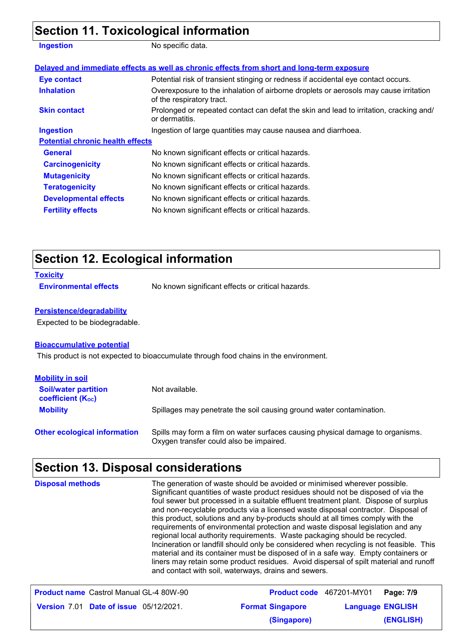# **Section 11. Toxicological information**

| <b>Ingestion</b>                        | No specific data.                                                                                                 |
|-----------------------------------------|-------------------------------------------------------------------------------------------------------------------|
|                                         | Delayed and immediate effects as well as chronic effects from short and long-term exposure                        |
| <b>Eye contact</b>                      | Potential risk of transient stinging or redness if accidental eye contact occurs.                                 |
| <b>Inhalation</b>                       | Overexposure to the inhalation of airborne droplets or aerosols may cause irritation<br>of the respiratory tract. |
| <b>Skin contact</b>                     | Prolonged or repeated contact can defat the skin and lead to irritation, cracking and/<br>or dermatitis.          |
| <b>Ingestion</b>                        | Ingestion of large quantities may cause nausea and diarrhoea.                                                     |
| <b>Potential chronic health effects</b> |                                                                                                                   |
| <b>General</b>                          | No known significant effects or critical hazards.                                                                 |
| <b>Carcinogenicity</b>                  | No known significant effects or critical hazards.                                                                 |
| <b>Mutagenicity</b>                     | No known significant effects or critical hazards.                                                                 |
| <b>Teratogenicity</b>                   | No known significant effects or critical hazards.                                                                 |
| <b>Developmental effects</b>            | No known significant effects or critical hazards.                                                                 |
| <b>Fertility effects</b>                | No known significant effects or critical hazards.                                                                 |

# **Section 12. Ecological information**

#### **Toxicity**

**Environmental effects** No known significant effects or critical hazards.

#### **Persistence/degradability**

Expected to be biodegradable.

#### **Bioaccumulative potential**

This product is not expected to bioaccumulate through food chains in the environment.

| <b>Mobility in soil</b>                                 |                                                                                                                           |
|---------------------------------------------------------|---------------------------------------------------------------------------------------------------------------------------|
| <b>Soil/water partition</b><br><b>coefficient (Koc)</b> | Not available.                                                                                                            |
| <b>Mobility</b>                                         | Spillages may penetrate the soil causing ground water contamination.                                                      |
| <b>Other ecological information</b>                     | Spills may form a film on water surfaces causing physical damage to organisms.<br>Oxygen transfer could also be impaired. |

# **Section 13. Disposal considerations**

| <b>Disposal methods</b>                        | The generation of waste should be avoided or minimised wherever possible.<br>Significant quantities of waste product residues should not be disposed of via the<br>foul sewer but processed in a suitable effluent treatment plant. Dispose of surplus<br>and non-recyclable products via a licensed waste disposal contractor. Disposal of<br>this product, solutions and any by-products should at all times comply with the<br>requirements of environmental protection and waste disposal legislation and any<br>regional local authority requirements. Waste packaging should be recycled.<br>Incineration or landfill should only be considered when recycling is not feasible. This<br>material and its container must be disposed of in a safe way. Empty containers or<br>liners may retain some product residues. Avoid dispersal of spilt material and runoff<br>and contact with soil, waterways, drains and sewers. |           |
|------------------------------------------------|----------------------------------------------------------------------------------------------------------------------------------------------------------------------------------------------------------------------------------------------------------------------------------------------------------------------------------------------------------------------------------------------------------------------------------------------------------------------------------------------------------------------------------------------------------------------------------------------------------------------------------------------------------------------------------------------------------------------------------------------------------------------------------------------------------------------------------------------------------------------------------------------------------------------------------|-----------|
| <b>Product name</b> Castrol Manual GL-4 80W-90 | Product code 467201-MY01                                                                                                                                                                                                                                                                                                                                                                                                                                                                                                                                                                                                                                                                                                                                                                                                                                                                                                         | Page: 7/9 |

| <b>Product name</b> Castrol Manual GL-4 80W-90 | Product code 467201-MY01 | Page: 7/9               |  |
|------------------------------------------------|--------------------------|-------------------------|--|
| <b>Version 7.01 Date of issue 05/12/2021.</b>  | <b>Format Singapore</b>  | <b>Language ENGLISH</b> |  |
|                                                | (Singapore)              | (ENGLISH)               |  |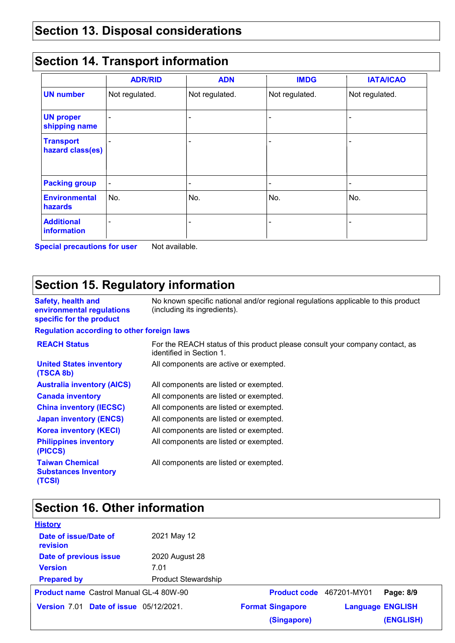# **Section 13. Disposal considerations**

### **Section 14. Transport information**

|                                      | <b>ADR/RID</b> | <b>ADN</b>               | <b>IMDG</b>    | <b>IATA/ICAO</b> |
|--------------------------------------|----------------|--------------------------|----------------|------------------|
| <b>UN number</b>                     | Not regulated. | Not regulated.           | Not regulated. | Not regulated.   |
| <b>UN proper</b><br>shipping name    |                | -                        |                |                  |
| <b>Transport</b><br>hazard class(es) |                | $\overline{\phantom{0}}$ |                |                  |
| <b>Packing group</b>                 |                | -                        | -              |                  |
| <b>Environmental</b><br>hazards      | No.            | No.                      | No.            | No.              |
| <b>Additional</b><br>information     |                | -                        |                |                  |

**Special precautions for user** Not available.

## **Section 15. Regulatory information**

**Safety, health and environmental regulations specific for the product** No known specific national and/or regional regulations applicable to this product (including its ingredients). **United States inventory (TSCA 8b)** All components are active or exempted. **Canada inventory** All components are listed or exempted. **Australia inventory (AICS)** All components are listed or exempted. **Regulation according to other foreign laws China inventory (IECSC)** All components are listed or exempted. **Japan inventory (ENCS)** All components are listed or exempted. **Korea inventory (KECI)** All components are listed or exempted. **Philippines inventory (PICCS)** All components are listed or exempted. **REACH Status** For the REACH status of this product please consult your company contact, as identified in Section 1. **Taiwan Chemical Substances Inventory (TCSI)** All components are listed or exempted.

# **Section 16. Other information**

| <b>History</b>                                 |                            |                                 |                         |           |
|------------------------------------------------|----------------------------|---------------------------------|-------------------------|-----------|
| Date of issue/Date of<br>revision              | 2021 May 12                |                                 |                         |           |
| Date of previous issue                         | 2020 August 28             |                                 |                         |           |
| <b>Version</b>                                 | 7.01                       |                                 |                         |           |
| <b>Prepared by</b>                             | <b>Product Stewardship</b> |                                 |                         |           |
| <b>Product name</b> Castrol Manual GL-4 80W-90 |                            | <b>Product code</b> 467201-MY01 |                         | Page: 8/9 |
| Version 7.01 Date of issue 05/12/2021.         |                            | <b>Format Singapore</b>         | <b>Language ENGLISH</b> |           |
|                                                |                            | (Singapore)                     |                         | (ENGLISH) |